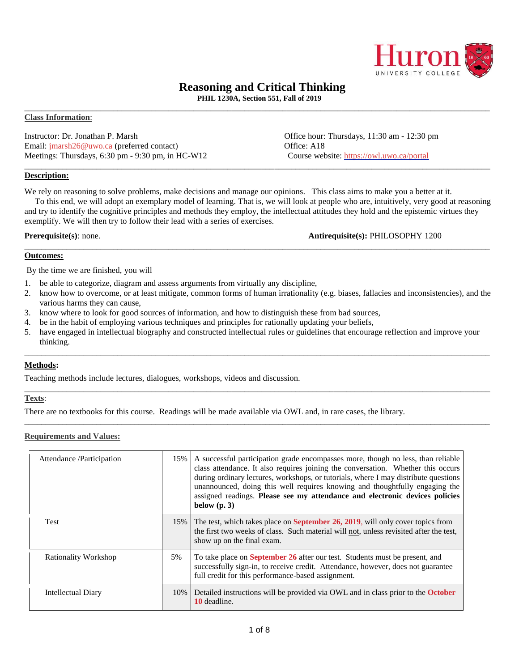

# **Reasoning and Critical Thinking**

**PHIL 1230A, Section 551, Fall of 2019** \_\_\_\_\_\_\_\_\_\_\_\_\_\_\_\_\_\_\_\_\_\_\_\_\_\_\_\_\_\_\_\_\_\_\_\_\_\_\_\_\_\_\_\_\_\_\_\_\_\_\_\_\_\_\_\_\_\_\_\_\_\_\_\_\_\_\_\_\_\_\_\_\_\_\_\_\_\_\_\_\_\_\_\_\_\_\_\_\_\_\_\_\_\_\_\_\_\_\_\_\_\_\_\_\_\_\_\_\_\_

#### **Class Information**:

Instructor: Dr. Jonathan P. Marsh Office hour: Thursdays, 11:30 am - 12:30 pm Email: [jmarsh26@uwo.ca](mailto:jmarsh26@uwo.ca) (preferred contact) 6. Office: A18 Meetings: Thursdays, 6:30 pm - 9:30 pm, in HC-W12 Course website: https://owl.uwo.ca/portal

\_\_\_\_\_\_\_\_\_\_\_\_\_\_\_\_\_\_\_\_\_\_\_\_\_\_\_\_\_\_\_\_\_\_\_\_\_\_\_\_\_\_\_\_\_\_\_\_\_\_\_\_\_\_\_\_\_\_\_\_\_\_\_\_\_\_\_\_\_\_\_\_\_\_\_\_\_\_\_\_\_\_\_\_\_\_\_\_\_\_\_\_\_\_\_\_\_\_\_\_\_\_\_\_\_\_\_\_\_\_ **Description:**

We rely on reasoning to solve problems, make decisions and manage our opinions. This class aims to make you a better at it.

 To this end, we will adopt an exemplary model of learning. That is, we will look at people who are, intuitively, very good at reasoning and try to identify the cognitive principles and methods they employ, the intellectual attitudes they hold and the epistemic virtues they exemplify. We will then try to follow their lead with a series of exercises.

\_\_\_\_\_\_\_\_\_\_\_\_\_\_\_\_\_\_\_\_\_\_\_\_\_\_\_\_\_\_\_\_\_\_\_\_\_\_\_\_\_\_\_\_\_\_\_\_\_\_\_\_\_\_\_\_\_\_\_\_\_\_\_\_\_\_\_\_\_\_\_\_\_\_\_\_\_\_\_\_\_\_\_\_\_\_\_\_\_\_\_\_\_\_\_\_\_\_\_\_\_\_\_\_\_\_\_\_\_\_

**Prerequisite(s)**: none. **Antirequisite(s):** PHILOSOPHY 1200

### **Outcomes:**

By the time we are finished, you will

- 1. be able to categorize, diagram and assess arguments from virtually any discipline,
- 2. know how to overcome, or at least mitigate, common forms of human irrationality (e.g. biases, fallacies and inconsistencies), and the various harms they can cause,
- 3. know where to look for good sources of information, and how to distinguish these from bad sources,
- 4. be in the habit of employing various techniques and principles for rationally updating your beliefs,
- 5. have engaged in intellectual biography and constructed intellectual rules or guidelines that encourage reflection and improve your thinking.

\_\_\_\_\_\_\_\_\_\_\_\_\_\_\_\_\_\_\_\_\_\_\_\_\_\_\_\_\_\_\_\_\_\_\_\_\_\_\_\_\_\_\_\_\_\_\_\_\_\_\_\_\_\_\_\_\_\_\_\_\_\_\_\_\_\_\_\_\_\_\_\_\_\_\_\_\_\_\_\_\_\_\_\_\_\_\_\_\_\_\_\_\_\_\_\_\_\_\_\_\_\_\_\_\_\_\_\_\_\_

\_\_\_\_\_\_\_\_\_\_\_\_\_\_\_\_\_\_\_\_\_\_\_\_\_\_\_\_\_\_\_\_\_\_\_\_\_\_\_\_\_\_\_\_\_\_\_\_\_\_\_\_\_\_\_\_\_\_\_\_\_\_\_\_\_\_\_\_\_\_\_\_\_\_\_\_\_\_\_\_\_\_\_\_\_\_\_\_\_\_\_\_\_\_\_\_\_\_\_\_\_\_\_\_\_\_\_\_\_\_

\_\_\_\_\_\_\_\_\_\_\_\_\_\_\_\_\_\_\_\_\_\_\_\_\_\_\_\_\_\_\_\_\_\_\_\_\_\_\_\_\_\_\_\_\_\_\_\_\_\_\_\_\_\_\_\_\_\_\_\_\_\_\_\_\_\_\_\_\_\_\_\_\_\_\_\_\_\_\_\_\_\_\_\_\_\_\_\_\_\_\_\_\_\_\_\_\_\_\_\_\_\_\_\_\_\_\_\_\_\_

#### **Methods:**

Teaching methods include lectures, dialogues, workshops, videos and discussion.

## **Texts**:

There are no textbooks for this course. Readings will be made available via OWL and, in rare cases, the library.

#### **Requirements and Values:**

| Attendance /Participation | 15%    | A successful participation grade encompasses more, though no less, than reliable<br>class attendance. It also requires joining the conversation. Whether this occurs<br>during ordinary lectures, workshops, or tutorials, where I may distribute questions<br>unannounced, doing this well requires knowing and thoughtfully engaging the<br>assigned readings. Please see my attendance and electronic devices policies<br>below $(p, 3)$ |
|---------------------------|--------|---------------------------------------------------------------------------------------------------------------------------------------------------------------------------------------------------------------------------------------------------------------------------------------------------------------------------------------------------------------------------------------------------------------------------------------------|
| <b>Test</b>               | $15\%$ | The test, which takes place on <b>September 26, 2019</b> , will only cover topics from<br>the first two weeks of class. Such material will not, unless revisited after the test,<br>show up on the final exam.                                                                                                                                                                                                                              |
| Rationality Workshop      | 5%     | To take place on September 26 after our test. Students must be present, and<br>successfully sign-in, to receive credit. Attendance, however, does not guarantee<br>full credit for this performance-based assignment.                                                                                                                                                                                                                       |
| <b>Intellectual Diary</b> | 10%    | Detailed instructions will be provided via OWL and in class prior to the <b>October</b><br>10 deadline.                                                                                                                                                                                                                                                                                                                                     |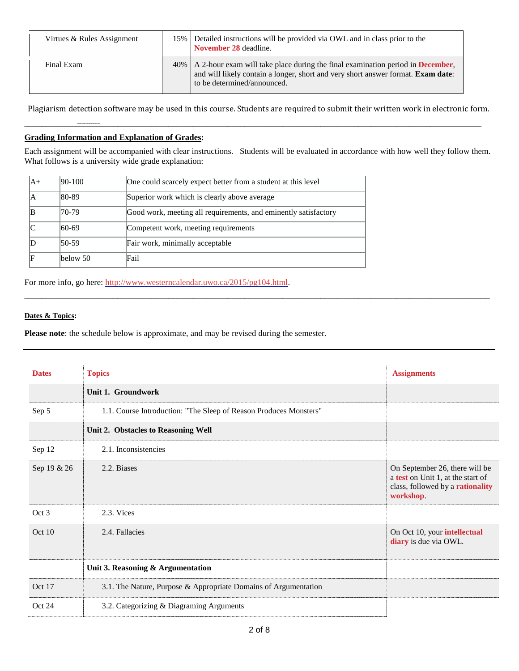| Virtues & Rules Assignment | 15% Detailed instructions will be provided via OWL and in class prior to the<br>November 28 deadline.                                                                                                                  |  |
|----------------------------|------------------------------------------------------------------------------------------------------------------------------------------------------------------------------------------------------------------------|--|
| Final Exam                 | 40%   A 2-hour exam will take place during the final examination period in <b>December</b> ,<br>and will likely contain a longer, short and very short answer format. <b>Exam date:</b><br>to be determined/announced. |  |

Plagiarism detection software may be used in this course. Students are required to submit their written work in electronic form.

\_\_\_\_\_\_\_\_\_\_\_\_\_\_\_\_\_\_\_\_\_\_\_\_\_\_\_\_\_\_\_\_\_\_\_\_\_\_\_\_\_\_\_\_\_\_\_\_\_\_\_\_\_\_\_\_\_\_\_\_\_\_\_\_\_\_\_\_\_\_\_\_\_\_\_\_\_\_\_\_\_\_\_\_\_\_\_\_\_\_\_\_\_\_\_\_\_\_\_\_\_\_\_\_\_\_\_\_

## **Grading Information and Explanation of Grades:**

Each assignment will be accompanied with clear instructions. Students will be evaluated in accordance with how well they follow them. What follows is a university wide grade explanation:

\_\_\_\_\_\_\_\_\_\_\_\_\_\_\_\_\_\_\_\_\_\_\_\_\_\_\_\_\_\_\_\_\_\_\_\_\_\_\_\_\_\_\_\_\_\_\_\_\_\_\_\_\_\_\_\_\_\_\_\_\_\_\_\_\_\_\_\_\_\_\_\_\_\_\_\_\_\_\_\_\_\_\_\_\_\_\_\_\_\_\_\_\_\_\_\_\_\_\_\_\_\_\_\_\_\_\_\_\_\_

| A+ | 90-100   | One could scarcely expect better from a student at this level   |
|----|----------|-----------------------------------------------------------------|
|    | 80-89    | Superior work which is clearly above average                    |
|    | 70-79    | Good work, meeting all requirements, and eminently satisfactory |
|    | 60-69    | Competent work, meeting requirements                            |
|    | 50-59    | Fair work, minimally acceptable                                 |
|    | below 50 | Fail                                                            |

For more info, go here: [http://www.westerncalendar.uwo.ca/2015/pg104.html.](http://www.westerncalendar.uwo.ca/2015/pg104.html)

#### **Dates & Topics:**

**Please note**: the schedule below is approximate, and may be revised during the semester.

| <b>Dates</b> | <b>Topics</b>                                                     | <b>Assignments</b>                                                                                                   |
|--------------|-------------------------------------------------------------------|----------------------------------------------------------------------------------------------------------------------|
|              | Unit 1. Groundwork                                                |                                                                                                                      |
| Sep 5        | 1.1. Course Introduction: "The Sleep of Reason Produces Monsters" |                                                                                                                      |
|              | Unit 2. Obstacles to Reasoning Well                               |                                                                                                                      |
| Sep 12       | 2.1. Inconsistencies                                              |                                                                                                                      |
| Sep 19 & 26  | 2.2. Biases                                                       | On September 26, there will be<br>a test on Unit 1, at the start of<br>class, followed by a rationality<br>workshop. |
| Oct 3        | 2.3. Vices                                                        |                                                                                                                      |
| Oct 10       | 2.4. Fallacies                                                    | On Oct 10, your intellectual<br>diary is due via OWL.                                                                |
|              | Unit 3. Reasoning & Argumentation                                 |                                                                                                                      |
| Oct 17       | 3.1. The Nature, Purpose & Appropriate Domains of Argumentation   |                                                                                                                      |
| Oct 24       | 3.2. Categorizing & Diagraming Arguments                          |                                                                                                                      |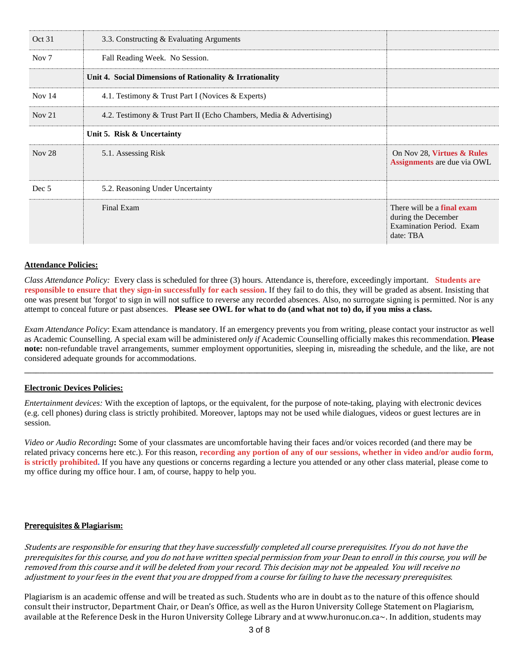| Oct 31            | 3.3. Constructing & Evaluating Arguments                            |                                                                                            |
|-------------------|---------------------------------------------------------------------|--------------------------------------------------------------------------------------------|
| Nov $7$           | Fall Reading Week. No Session.                                      |                                                                                            |
|                   | Unit 4. Social Dimensions of Rationality & Irrationality            |                                                                                            |
| Nov $14$          | 4.1. Testimony & Trust Part I (Novices & Experts)                   |                                                                                            |
| Nov <sub>21</sub> | 4.2. Testimony & Trust Part II (Echo Chambers, Media & Advertising) |                                                                                            |
|                   | Unit 5. Risk & Uncertainty                                          |                                                                                            |
| Nov <sub>28</sub> | 5.1. Assessing Risk                                                 | On Nov 28, Virtues & Rules<br><b>Assignments</b> are due via OWL                           |
| Dec 5             | 5.2. Reasoning Under Uncertainty                                    |                                                                                            |
|                   | Final Exam                                                          | There will be a final exam<br>during the December<br>Examination Period. Exam<br>date: TBA |

#### **Attendance Policies:**

*Class Attendance Policy:* Every class is scheduled for three (3) hours. Attendance is, therefore, exceedingly important. **Students are responsible to ensure that they sign-in successfully for each session.** If they fail to do this, they will be graded as absent. Insisting that one was present but 'forgot' to sign in will not suffice to reverse any recorded absences. Also, no surrogate signing is permitted. Nor is any attempt to conceal future or past absences. Please see OWL for what to do (and what not to) do, if you miss a class.

*Exam Attendance Policy*: Exam attendance is mandatory. If an emergency prevents you from writing, please contact your instructor as well as Academic Counselling. A special exam will be administered *only if* Academic Counselling officially makes this recommendation. **Please note:** non-refundable travel arrangements, summer employment opportunities, sleeping in, misreading the schedule, and the like, are not considered adequate grounds for accommodations.

**\_\_\_\_\_\_\_\_\_\_\_\_\_\_\_\_\_\_\_\_\_\_\_\_\_\_\_\_\_\_\_\_\_\_\_\_\_\_\_\_\_\_\_\_\_\_\_\_\_\_\_\_\_\_\_\_\_\_\_\_\_\_\_\_\_\_\_\_\_\_\_\_\_\_\_\_\_\_\_\_\_\_\_\_\_\_\_\_\_\_\_\_\_\_\_\_\_\_\_\_\_\_\_\_\_\_\_\_\_\_\_\_\_\_\_\_\_\_\_\_\_\_\_**

## **Electronic Devices Policies:**

*Entertainment devices:* With the exception of laptops, or the equivalent, for the purpose of note-taking, playing with electronic devices (e.g. cell phones) during class is strictly prohibited. Moreover, laptops may not be used while dialogues, videos or guest lectures are in session.

*Video or Audio Recording***:** Some of your classmates are uncomfortable having their faces and/or voices recorded (and there may be related privacy concerns here etc.). For this reason, recording any portion of any of our sessions, whether in video and/or audio form, **is strictly prohibited.** If you have any questions or concerns regarding a lecture you attended or any other class material, please come to my office during my office hour. I am, of course, happy to help you.

#### Prerequisites & **Plagiarism:**

Students are responsible for ensuring that they have successfully completed all course prerequisites. If you do not have the prerequisites for this course, and you do not have written special permission from your Dean to enroll in this course, you will be removed from this course and it will be deleted from your record. This decision may not be appealed. You will receive no adjustment to your fees in the event that you are dropped from <sup>a</sup> course for failing to have the necessary prerequisites.

Plagiarism is an academic offense and will be treated as such. Students who are in doubt as to the nature of this offence should consult their instructor, Department Chair, or Dean's Office, as well as the Huron University College Statement on Plagiarism, available at the Reference Desk in the Huron University College Library and at www.huronuc.on.ca~. In addition, students may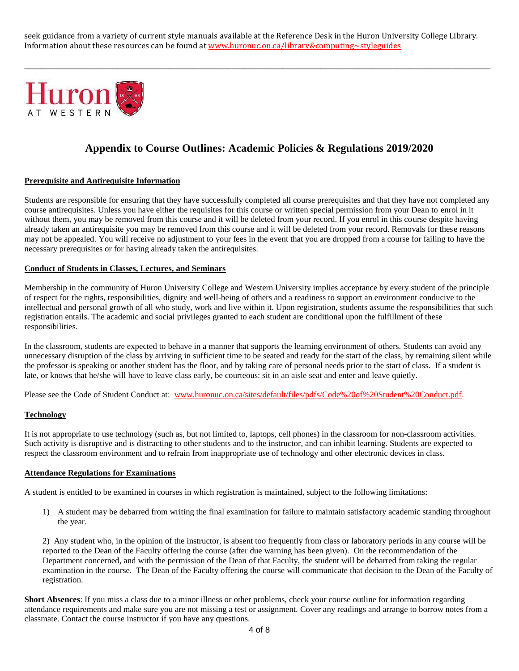seek guidance from a variety of current style manuals available at the Reference Desk in the Huron University College Library. Information about these resources can be found at [www.huronuc.on.ca/library&computing~styleguides](http://www.huronuc.on.ca/library&computing~styleguides)

\_\_\_\_\_\_\_\_\_\_\_\_\_\_\_\_\_\_\_\_\_\_\_\_\_\_\_\_\_\_\_\_\_\_\_\_\_\_\_\_\_\_\_\_\_\_\_\_\_\_\_\_\_\_\_\_\_\_\_\_\_\_\_\_\_\_\_\_\_\_\_\_\_\_\_\_\_\_\_\_\_\_\_\_\_\_\_\_\_\_\_\_\_\_\_\_\_\_\_\_\_\_\_\_\_\_\_\_\_\_



# **Appendix to Course Outlines: Academic Policies & Regulations 2019/2020**

#### **Prerequisite and Antirequisite Information**

Students are responsible for ensuring that they have successfully completed all course prerequisites and that they have not completed any course antirequisites. Unless you have either the requisites for this course or written special permission from your Dean to enrol in it without them, you may be removed from this course and it will be deleted from your record. If you enrol in this course despite having already taken an antirequisite you may be removed from this course and it will be deleted from your record. Removals for these reasons may not be appealed. You will receive no adjustment to your fees in the event that you are dropped from a course for failing to have the necessary prerequisites or for having already taken the antirequisites.

#### **Conduct of Students in Classes, Lectures, and Seminars**

Membership in the community of Huron University College and Western University implies acceptance by every student of the principle of respect for the rights, responsibilities, dignity and well-being of others and a readiness to support an environment conducive to the intellectual and personal growth of all who study, work and live within it. Upon registration, students assume the responsibilities that such registration entails. The academic and social privileges granted to each student are conditional upon the fulfillment of these responsibilities.

In the classroom, students are expected to behave in a manner that supports the learning environment of others. Students can avoid any unnecessary disruption of the class by arriving in sufficient time to be seated and ready for the start of the class, by remaining silent while the professor is speaking or another student has the floor, and by taking care of personal needs prior to the start of class. If a student is late, or knows that he/she will have to leave class early, be courteous: sit in an aisle seat and enter and leave quietly.

Please see the Code of Student Conduct at: [www.huronuc.on.ca/sites/default/files/pdfs/Code%20of%20Student%20Conduct.pdf.](http://www.huronuc.on.ca/sites/default/files/pdfs/Code%20of%20Student%20Conduct.pdf)

#### **Technology**

It is not appropriate to use technology (such as, but not limited to, laptops, cell phones) in the classroom for non-classroom activities. Such activity is disruptive and is distracting to other students and to the instructor, and can inhibit learning. Students are expected to respect the classroom environment and to refrain from inappropriate use of technology and other electronic devices in class.

#### **Attendance Regulations for Examinations**

A student is entitled to be examined in courses in which registration is maintained, subject to the following limitations:

1) A student may be debarred from writing the final examination for failure to maintain satisfactory academic standing throughout the year.

2) Any student who, in the opinion of the instructor, is absent too frequently from class or laboratory periods in any course will be reported to the Dean of the Faculty offering the course (after due warning has been given). On the recommendation of the Department concerned, and with the permission of the Dean of that Faculty, the student will be debarred from taking the regular examination in the course. The Dean of the Faculty offering the course will communicate that decision to the Dean of the Faculty of registration.

**Short Absences**: If you miss a class due to a minor illness or other problems, check your course outline for information regarding attendance requirements and make sure you are not missing a test or assignment. Cover any readings and arrange to borrow notes from a classmate. Contact the course instructor if you have any questions.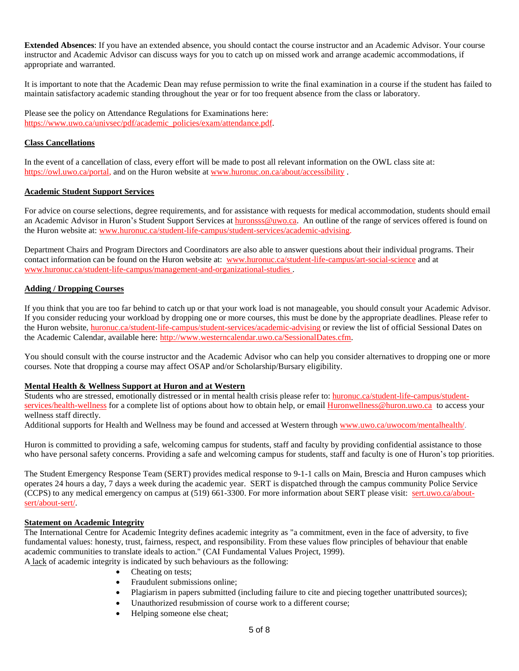**Extended Absences**: If you have an extended absence, you should contact the course instructor and an Academic Advisor. Your course instructor and Academic Advisor can discuss ways for you to catch up on missed work and arrange academic accommodations, if appropriate and warranted.

It is important to note that the Academic Dean may refuse permission to write the final examination in a course if the student has failed to maintain satisfactory academic standing throughout the year or for too frequent absence from the class or laboratory.

Please see the policy on Attendance Regulations for Examinations here: [https://www.uwo.ca/univsec/pdf/academic\\_policies/exam/attendance.pdf.](https://www.uwo.ca/univsec/pdf/academic_policies/exam/attendance.pdf)

#### **Class Cancellations**

In the event of a cancellation of class, every effort will be made to post all relevant information on the OWL class site at: [https://owl.uwo.ca/portal,](https://owl.uwo.ca/portal) and on the Huron website at [www.huronuc.on.ca/about/accessibility](http://www.huronuc.on.ca/about/accessibility) .

### **Academic Student Support Services**

For advice on course selections, degree requirements, and for assistance with requests for medical accommodation, students should email an Academic Advisor in Huron's Student Support Services at [huronsss@uwo.ca.](mailto:huronsss@uwo.ca) An outline of the range of services offered is found on the Huron website at: [www.huronuc.ca/student-life-campus/student-services/academic-advising.](http://www.huronuc.ca/student-life-campus/student-services/academic-advising)

Department Chairs and Program Directors and Coordinators are also able to answer questions about their individual programs. Their contact information can be found on the Huron website at: [www.huronuc.ca/student-life-campus/art-social-science](http://www.huronuc.ca/student-life-campus/art-social-science) and at [www.huronuc.ca/student-life-campus/management-and-organizational-studies](http://www.huronuc.ca/student-life-campus/management-and-organizational-studies) .

#### **Adding / Dropping Courses**

If you think that you are too far behind to catch up or that your work load is not manageable, you should consult your Academic Advisor. If you consider reducing your workload by dropping one or more courses, this must be done by the appropriate deadlines. Please refer to the Huron website, [huronuc.ca/student-life-campus/student-services/academic-advising](https://huronuc.ca/student-life-campus/student-services/academic-advising) or review the list of official Sessional Dates on the Academic Calendar, available here: [http://www.westerncalendar.uwo.ca/SessionalDates.cfm.](http://www.westerncalendar.uwo.ca/SessionalDates.cfm)

You should consult with the course instructor and the Academic Advisor who can help you consider alternatives to dropping one or more courses. Note that dropping a course may affect OSAP and/or Scholarship/Bursary eligibility.

#### **Mental Health & Wellness Support at Huron and at Western**

Students who are stressed, emotionally distressed or in mental health crisis please refer to: [huronuc.ca/student-life-campus/student](https://huronuc.ca/student-life-campus/student-services/health-wellness)[services/health-wellness](https://huronuc.ca/student-life-campus/student-services/health-wellness) for a complete list of options about how to obtain help, or email [Huronwellness@huron.uwo.ca](mailto:Huronwellness@huron.uwo.ca) to access your wellness staff directly.

Additional supports for Health and Wellness may be found and accessed at Western through [www.uwo.ca/uwocom/mentalhealth/.](http://www.uwo.ca/uwocom/mentalhealth/)

Huron is committed to providing a safe, welcoming campus for students, staff and faculty by providing confidential assistance to those who have personal safety concerns. Providing a safe and welcoming campus for students, staff and faculty is one of Huron's top priorities.

The Student Emergency Response Team (SERT) provides medical response to 9-1-1 calls on Main, Brescia and Huron campuses which operates 24 hours a day, 7 days a week during the academic year. SERT is dispatched through the campus community Police Service (CCPS) to any medical emergency on campus at (519) 661-3300. For more information about SERT please visit: [sert.uwo.ca/about](https://sert.uwo.ca/about-sert/about-sert/)[sert/about-sert/.](https://sert.uwo.ca/about-sert/about-sert/)

#### **Statement on Academic Integrity**

The International Centre for Academic Integrity defines academic integrity as "a commitment, even in the face of adversity, to five fundamental values: honesty, trust, fairness, respect, and responsibility. From these values flow principles of behaviour that enable academic communities to translate ideals to action." (CAI Fundamental Values Project, 1999).

A lack of academic integrity is indicated by such behaviours as the following:

- Cheating on tests;
- Fraudulent submissions online;
- Plagiarism in papers submitted (including failure to cite and piecing together unattributed sources);
- Unauthorized resubmission of course work to a different course;
- Helping someone else cheat;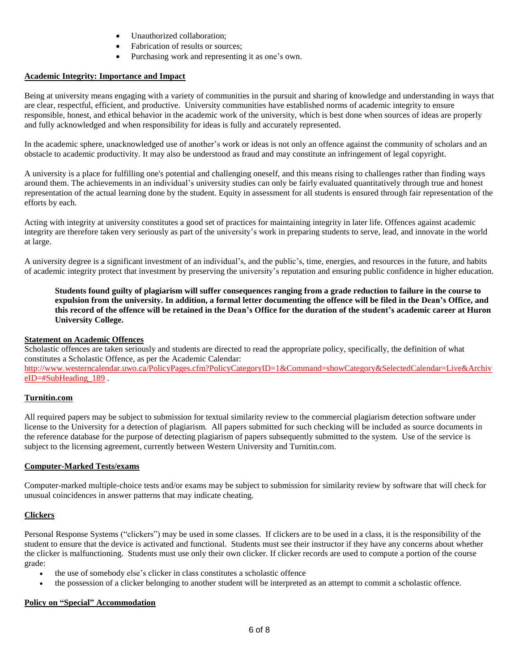- Unauthorized collaboration;
- Fabrication of results or sources;
- Purchasing work and representing it as one's own.

### **Academic Integrity: Importance and Impact**

Being at university means engaging with a variety of communities in the pursuit and sharing of knowledge and understanding in ways that are clear, respectful, efficient, and productive. University communities have established norms of academic integrity to ensure responsible, honest, and ethical behavior in the academic work of the university, which is best done when sources of ideas are properly and fully acknowledged and when responsibility for ideas is fully and accurately represented.

In the academic sphere, unacknowledged use of another's work or ideas is not only an offence against the community of scholars and an obstacle to academic productivity. It may also be understood as fraud and may constitute an infringement of legal copyright.

A university is a place for fulfilling one's potential and challenging oneself, and this means rising to challenges rather than finding ways around them. The achievements in an individual's university studies can only be fairly evaluated quantitatively through true and honest representation of the actual learning done by the student. Equity in assessment for all students is ensured through fair representation of the efforts by each.

Acting with integrity at university constitutes a good set of practices for maintaining integrity in later life. Offences against academic integrity are therefore taken very seriously as part of the university's work in preparing students to serve, lead, and innovate in the world at large.

A university degree is a significant investment of an individual's, and the public's, time, energies, and resources in the future, and habits of academic integrity protect that investment by preserving the university's reputation and ensuring public confidence in higher education.

Students found guilty of plagiarism will suffer consequences ranging from a grade reduction to failure in the course to expulsion from the university. In addition, a formal letter documenting the offence will be filed in the Dean's Office, and this record of the offence will be retained in the Dean's Office for the duration of the student's academic career at Huron **University College.**

### **Statement on Academic Offences**

Scholastic offences are taken seriously and students are directed to read the appropriate policy, specifically, the definition of what constitutes a Scholastic Offence, as per the Academic Calendar: [http://www.westerncalendar.uwo.ca/PolicyPages.cfm?PolicyCategoryID=1&Command=showCategory&SelectedCalendar=Live&Archiv](http://www.westerncalendar.uwo.ca/PolicyPages.cfm?PolicyCategoryID=1&Command=showCategory&SelectedCalendar=Live&ArchiveID=#SubHeading_189) [eID=#SubHeading\\_189](http://www.westerncalendar.uwo.ca/PolicyPages.cfm?PolicyCategoryID=1&Command=showCategory&SelectedCalendar=Live&ArchiveID=#SubHeading_189) .

#### **Turnitin.com**

All required papers may be subject to submission for textual similarity review to the commercial plagiarism detection software under license to the University for a detection of plagiarism. All papers submitted for such checking will be included as source documents in the reference database for the purpose of detecting plagiarism of papers subsequently submitted to the system. Use of the service is subject to the licensing agreement, currently between Western University and Turnitin.com.

#### **Computer-Marked Tests/exams**

Computer-marked multiple-choice tests and/or exams may be subject to submission for similarity review by software that will check for unusual coincidences in answer patterns that may indicate cheating.

## **Clickers**

Personal Response Systems ("clickers") may be used in some classes. If clickers are to be used in a class, it is the responsibility of the student to ensure that the device is activated and functional. Students must see their instructor if they have any concerns about whether the clicker is malfunctioning. Students must use only their own clicker. If clicker records are used to compute a portion of the course grade:

- the use of somebody else's clicker in class constitutes a scholastic offence
- the possession of a clicker belonging to another student will be interpreted as an attempt to commit a scholastic offence.

## **Policy on "Special" Accommodation**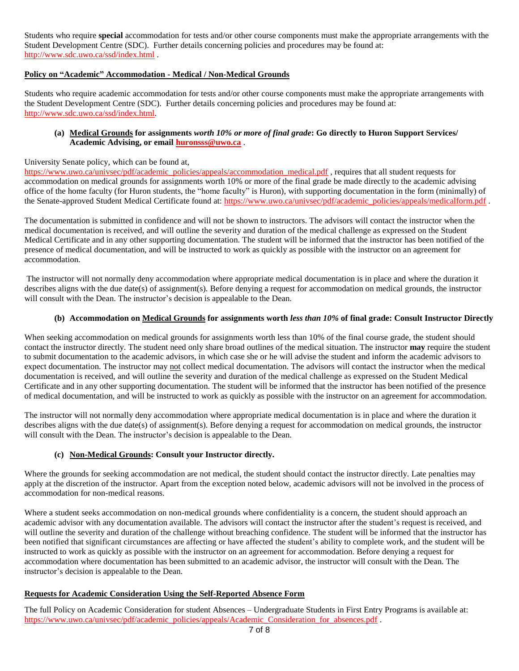Students who require **special** accommodation for tests and/or other course components must make the appropriate arrangements with the Student Development Centre (SDC). Further details concerning policies and procedures may be found at: <http://www.sdc.uwo.ca/ssd/index.html> .

## **Policy on "Academic" Accommodation - Medical / Non-Medical Grounds**

Students who require academic accommodation for tests and/or other course components must make the appropriate arrangements with the Student Development Centre (SDC). Further details concerning policies and procedures may be found at: [http://www.sdc.uwo.ca/ssd/index.html.](http://www.sdc.uwo.ca/ssd/index.html)

#### (a) Medical Grounds for assignments worth 10% or more of final grade: Go directly to Huron Support Services/ **Academic Advising, or email [huronsss@uwo.ca](mailto:huronsss@uwo.ca)** .

#### University Senate policy, which can be found at,

[https://www.uwo.ca/univsec/pdf/academic\\_policies/appeals/accommodation\\_medical.pdf](https://www.uwo.ca/univsec/pdf/academic_policies/appeals/accommodation_medical.pdf) , requires that all student requests for accommodation on medical grounds for assignments worth 10% or more of the final grade be made directly to the academic advising office of the home faculty (for Huron students, the "home faculty" is Huron), with supporting documentation in the form (minimally) of the Senate-approved Student Medical Certificate found at: [https://www.uwo.ca/univsec/pdf/academic\\_policies/appeals/medicalform.pdf](https://www.uwo.ca/univsec/pdf/academic_policies/appeals/medicalform.pdf) .

The documentation is submitted in confidence and will not be shown to instructors. The advisors will contact the instructor when the medical documentation is received, and will outline the severity and duration of the medical challenge as expressed on the Student Medical Certificate and in any other supporting documentation. The student will be informed that the instructor has been notified of the presence of medical documentation, and will be instructed to work as quickly as possible with the instructor on an agreement for accommodation.

The instructor will not normally deny accommodation where appropriate medical documentation is in place and where the duration it describes aligns with the due date(s) of assignment(s). Before denying a request for accommodation on medical grounds, the instructor will consult with the Dean. The instructor's decision is appealable to the Dean.

#### (b) Accommodation on Medical Grounds for assignments worth less than 10% of final grade: Consult Instructor Directly

When seeking accommodation on medical grounds for assignments worth less than 10% of the final course grade, the student should contact the instructor directly. The student need only share broad outlines of the medical situation. The instructor **may** require the student to submit documentation to the academic advisors, in which case she or he will advise the student and inform the academic advisors to expect documentation. The instructor may not collect medical documentation. The advisors will contact the instructor when the medical documentation is received, and will outline the severity and duration of the medical challenge as expressed on the Student Medical Certificate and in any other supporting documentation. The student will be informed that the instructor has been notified of the presence of medical documentation, and will be instructed to work as quickly as possible with the instructor on an agreement for accommodation.

The instructor will not normally deny accommodation where appropriate medical documentation is in place and where the duration it describes aligns with the due date(s) of assignment(s). Before denying a request for accommodation on medical grounds, the instructor will consult with the Dean. The instructor's decision is appealable to the Dean.

## **(c) Non-Medical Grounds: Consult your Instructor directly.**

Where the grounds for seeking accommodation are not medical, the student should contact the instructor directly. Late penalties may apply at the discretion of the instructor. Apart from the exception noted below, academic advisors will not be involved in the process of accommodation for non-medical reasons.

Where a student seeks accommodation on non-medical grounds where confidentiality is a concern, the student should approach an academic advisor with any documentation available. The advisors will contact the instructor after the student's request is received, and will outline the severity and duration of the challenge without breaching confidence. The student will be informed that the instructor has been notified that significant circumstances are affecting or have affected the student's ability to complete work, and the student will be instructed to work as quickly as possible with the instructor on an agreement for accommodation. Before denying a request for accommodation where documentation has been submitted to an academic advisor, the instructor will consult with the Dean. The instructor's decision is appealable to the Dean.

#### **Requests for Academic Consideration Using the Self-Reported Absence Form**

The full Policy on Academic Consideration for student Absences – Undergraduate Students in First Entry Programs is available at: [https://www.uwo.ca/univsec/pdf/academic\\_policies/appeals/Academic\\_Consideration\\_for\\_absences.pdf](https://www.uwo.ca/univsec/pdf/academic_policies/appeals/Academic_Consideration_for_absences.pdf) .